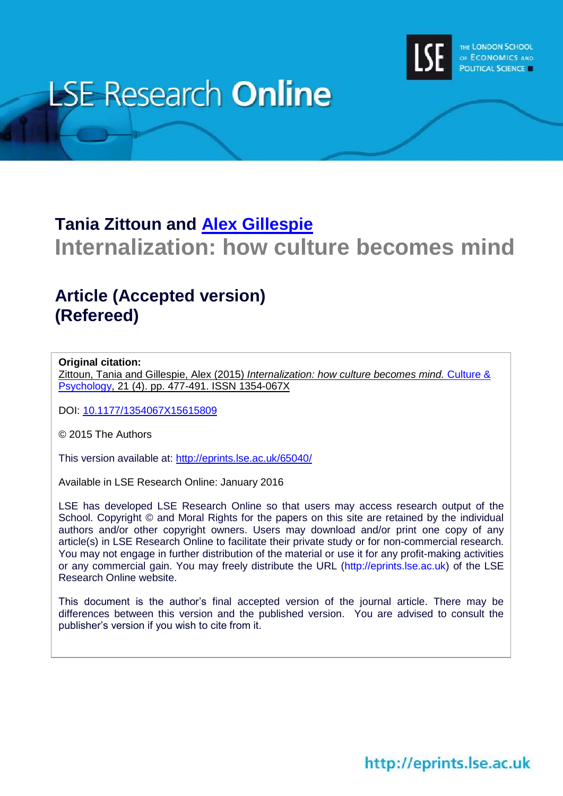

# **LSE Research Online**

# **Tania Zittoun and [Alex Gillespie](http://www.lse.ac.uk/researchAndExpertise/Experts/profile.aspx?KeyValue=a.t.gillespie@lse.ac.uk) Internalization: how culture becomes mind**

# **Article (Accepted version) (Refereed)**

# **Original citation:**

Zittoun, Tania and Gillespie, Alex (2015) *Internalization: how culture becomes mind.* [Culture &](http://cap.sagepub.com/)  [Psychology,](http://cap.sagepub.com/) 21 (4). pp. 477-491. ISSN 1354-067X

DOI: [10.1177/1354067X15615809](http://dx.doi.org/10.1177/1354067X15615809)

© 2015 The Authors

This version available at:<http://eprints.lse.ac.uk/65040/>

Available in LSE Research Online: January 2016

LSE has developed LSE Research Online so that users may access research output of the School. Copyright © and Moral Rights for the papers on this site are retained by the individual authors and/or other copyright owners. Users may download and/or print one copy of any article(s) in LSE Research Online to facilitate their private study or for non-commercial research. You may not engage in further distribution of the material or use it for any profit-making activities or any commercial gain. You may freely distribute the URL (http://eprints.lse.ac.uk) of the LSE Research Online website.

This document is the author's final accepted version of the journal article. There may be differences between this version and the published version. You are advised to consult the publisher's version if you wish to cite from it.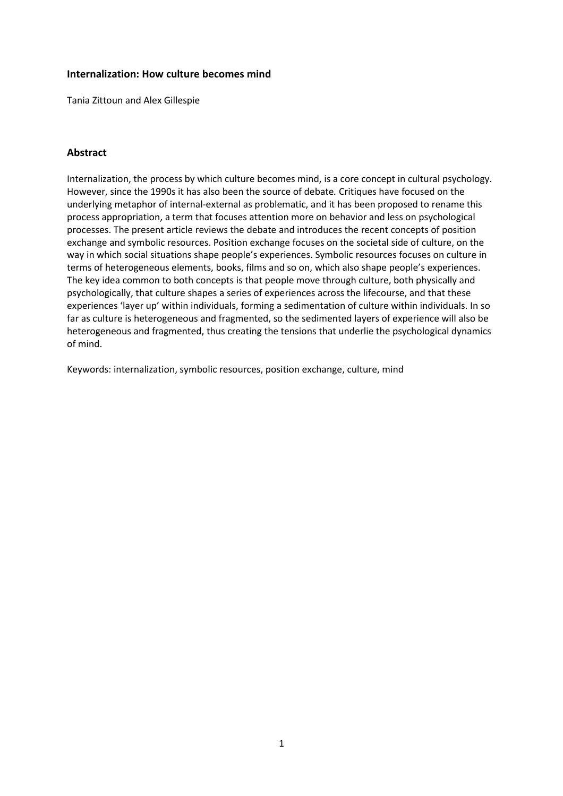#### **Internalization: How culture becomes mind**

Tania Zittoun and Alex Gillespie

#### **Abstract**

Internalization, the process by which culture becomes mind, is a core concept in cultural psychology. However, since the 1990s it has also been the source of debate*.* Critiques have focused on the underlying metaphor of internal-external as problematic, and it has been proposed to rename this process appropriation, a term that focuses attention more on behavior and less on psychological processes. The present article reviews the debate and introduces the recent concepts of position exchange and symbolic resources. Position exchange focuses on the societal side of culture, on the way in which social situations shape people's experiences. Symbolic resources focuses on culture in terms of heterogeneous elements, books, films and so on, which also shape people's experiences. The key idea common to both concepts is that people move through culture, both physically and psychologically, that culture shapes a series of experiences across the lifecourse, and that these experiences 'layer up' within individuals, forming a sedimentation of culture within individuals. In so far as culture is heterogeneous and fragmented, so the sedimented layers of experience will also be heterogeneous and fragmented, thus creating the tensions that underlie the psychological dynamics of mind.

Keywords: internalization, symbolic resources, position exchange, culture, mind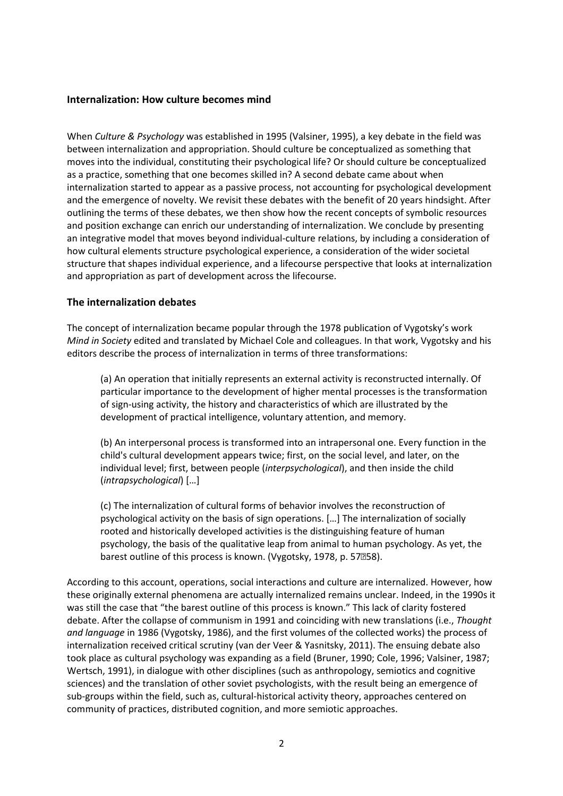#### **Internalization: How culture becomes mind**

When *Culture & Psychology* was established in 1995 (Valsiner, 1995), a key debate in the field was between internalization and appropriation. Should culture be conceptualized as something that moves into the individual, constituting their psychological life? Or should culture be conceptualized as a practice, something that one becomes skilled in? A second debate came about when internalization started to appear as a passive process, not accounting for psychological development and the emergence of novelty. We revisit these debates with the benefit of 20 years hindsight. After outlining the terms of these debates, we then show how the recent concepts of symbolic resources and position exchange can enrich our understanding of internalization. We conclude by presenting an integrative model that moves beyond individual-culture relations, by including a consideration of how cultural elements structure psychological experience, a consideration of the wider societal structure that shapes individual experience, and a lifecourse perspective that looks at internalization and appropriation as part of development across the lifecourse.

#### **The internalization debates**

The concept of internalization became popular through the 1978 publication of Vygotsky's work *Mind in Society* edited and translated by Michael Cole and colleagues. In that work, Vygotsky and his editors describe the process of internalization in terms of three transformations:

(a) An operation that initially represents an external activity is reconstructed internally. Of particular importance to the development of higher mental processes is the transformation of sign-using activity, the history and characteristics of which are illustrated by the development of practical intelligence, voluntary attention, and memory.

(b) An interpersonal process is transformed into an intrapersonal one. Every function in the child's cultural development appears twice; first, on the social level, and later, on the individual level; first, between people (*interpsychological*), and then inside the child (*intrapsychological*) […]

(c) The internalization of cultural forms of behavior involves the reconstruction of psychological activity on the basis of sign operations. […] The internalization of socially rooted and historically developed activities is the distinguishing feature of human psychology, the basis of the qualitative leap from animal to human psychology. As yet, the barest outline of this process is known. (Vygotsky, 1978, p. 57258).

According to this account, operations, social interactions and culture are internalized. However, how these originally external phenomena are actually internalized remains unclear. Indeed, in the 1990s it was still the case that "the barest outline of this process is known." This lack of clarity fostered debate. After the collapse of communism in 1991 and coinciding with new translations (i.e., *Thought and language* in 1986 (Vygotsky, 1986), and the first volumes of the collected works) the process of internalization received critical scrutiny (van der Veer & Yasnitsky, 2011). The ensuing debate also took place as cultural psychology was expanding as a field (Bruner, 1990; Cole, 1996; Valsiner, 1987; Wertsch, 1991), in dialogue with other disciplines (such as anthropology, semiotics and cognitive sciences) and the translation of other soviet psychologists, with the result being an emergence of sub-groups within the field, such as, cultural-historical activity theory, approaches centered on community of practices, distributed cognition, and more semiotic approaches.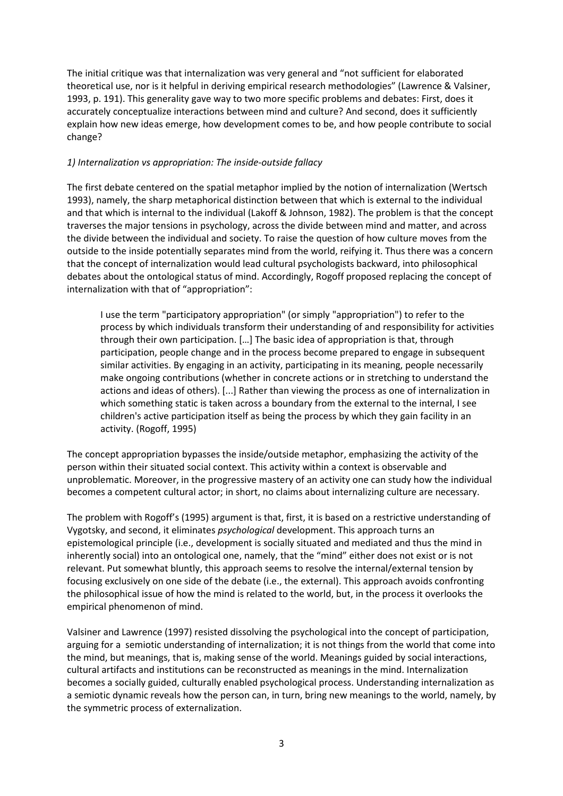The initial critique was that internalization was very general and "not sufficient for elaborated theoretical use, nor is it helpful in deriving empirical research methodologies" (Lawrence & Valsiner, 1993, p. 191). This generality gave way to two more specific problems and debates: First, does it accurately conceptualize interactions between mind and culture? And second, does it sufficiently explain how new ideas emerge, how development comes to be, and how people contribute to social change?

# *1) Internalization vs appropriation: The inside-outside fallacy*

The first debate centered on the spatial metaphor implied by the notion of internalization (Wertsch 1993), namely, the sharp metaphorical distinction between that which is external to the individual and that which is internal to the individual (Lakoff & Johnson, 1982). The problem is that the concept traverses the major tensions in psychology, across the divide between mind and matter, and across the divide between the individual and society. To raise the question of how culture moves from the outside to the inside potentially separates mind from the world, reifying it. Thus there was a concern that the concept of internalization would lead cultural psychologists backward, into philosophical debates about the ontological status of mind. Accordingly, Rogoff proposed replacing the concept of internalization with that of "appropriation":

I use the term "participatory appropriation" (or simply "appropriation") to refer to the process by which individuals transform their understanding of and responsibility for activities through their own participation. […] The basic idea of appropriation is that, through participation, people change and in the process become prepared to engage in subsequent similar activities. By engaging in an activity, participating in its meaning, people necessarily make ongoing contributions (whether in concrete actions or in stretching to understand the actions and ideas of others). [...] Rather than viewing the process as one of internalization in which something static is taken across a boundary from the external to the internal, I see children's active participation itself as being the process by which they gain facility in an activity. (Rogoff, 1995)

The concept appropriation bypasses the inside/outside metaphor, emphasizing the activity of the person within their situated social context. This activity within a context is observable and unproblematic. Moreover, in the progressive mastery of an activity one can study how the individual becomes a competent cultural actor; in short, no claims about internalizing culture are necessary.

The problem with Rogoff's (1995) argument is that, first, it is based on a restrictive understanding of Vygotsky, and second, it eliminates *psychological* development. This approach turns an epistemological principle (i.e., development is socially situated and mediated and thus the mind in inherently social) into an ontological one, namely, that the "mind" either does not exist or is not relevant. Put somewhat bluntly, this approach seems to resolve the internal/external tension by focusing exclusively on one side of the debate (i.e., the external). This approach avoids confronting the philosophical issue of how the mind is related to the world, but, in the process it overlooks the empirical phenomenon of mind.

Valsiner and Lawrence (1997) resisted dissolving the psychological into the concept of participation, arguing for a semiotic understanding of internalization; it is not things from the world that come into the mind, but meanings, that is, making sense of the world. Meanings guided by social interactions, cultural artifacts and institutions can be reconstructed as meanings in the mind. Internalization becomes a socially guided, culturally enabled psychological process. Understanding internalization as a semiotic dynamic reveals how the person can, in turn, bring new meanings to the world, namely, by the symmetric process of externalization.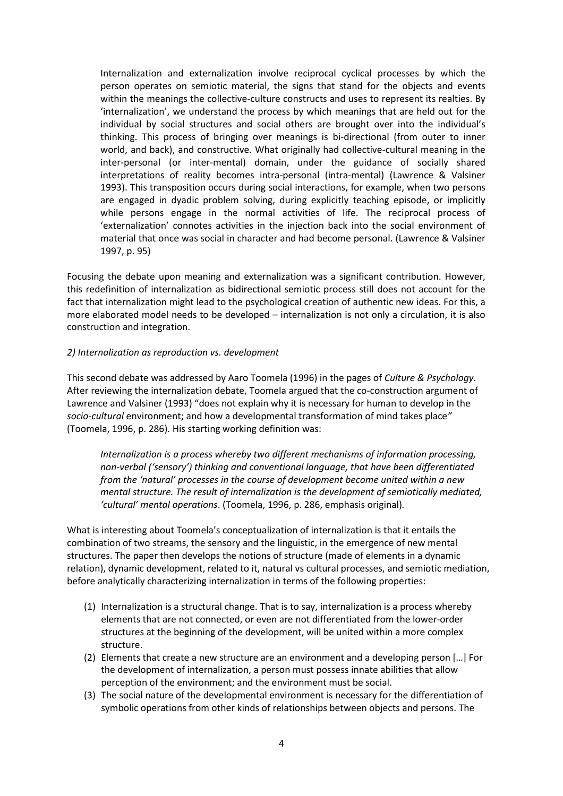Internalization and externalization involve reciprocal cyclical processes by which the person operates on semiotic material, the signs that stand for the objects and events within the meanings the collective-culture constructs and uses to represent its realties. By 'internalization', we understand the process by which meanings that are held out for the individual by social structures and social others are brought over into the individual's thinking. This process of bringing over meanings is bi-directional (from outer to inner world, and back), and constructive. What originally had collective-cultural meaning in the inter-personal (or inter-mental) domain, under the guidance of socially shared interpretations of reality becomes intra-personal (intra-mental) (Lawrence & Valsiner 1993). This transposition occurs during social interactions, for example, when two persons are engaged in dyadic problem solving, during explicitly teaching episode, or implicitly while persons engage in the normal activities of life. The reciprocal process of 'externalization' connotes activities in the injection back into the social environment of material that once was social in character and had become personal. (Lawrence & Valsiner 1997, p. 95)

Focusing the debate upon meaning and externalization was a significant contribution. However, this redefinition of internalization as bidirectional semiotic process still does not account for the fact that internalization might lead to the psychological creation of authentic new ideas. For this, a more elaborated model needs to be developed – internalization is not only a circulation, it is also construction and integration.

#### *2) Internalization as reproduction vs. development*

This second debate was addressed by Aaro Toomela (1996) in the pages of *Culture & Psychology*. After reviewing the internalization debate, Toomela argued that the co-construction argument of Lawrence and Valsiner (1993) "does not explain why it is necessary for human to develop in the *socio-cultural* environment; and how a developmental transformation of mind takes place*"*  (Toomela, 1996, p. 286)*.* His starting working definition was:

*Internalization is a process whereby two different mechanisms of information processing, non-verbal ('sensory') thinking and conventional language, that have been differentiated from the 'natural' processes in the course of development become united within a new mental structure. The result of internalization is the development of semiotically mediated, 'cultural' mental operations*. (Toomela, 1996, p. 286, emphasis original)*.* 

What is interesting about Toomela's conceptualization of internalization is that it entails the combination of two streams, the sensory and the linguistic, in the emergence of new mental structures. The paper then develops the notions of structure (made of elements in a dynamic relation), dynamic development, related to it, natural vs cultural processes, and semiotic mediation, before analytically characterizing internalization in terms of the following properties:

- (1) Internalization is a structural change. That is to say, internalization is a process whereby elements that are not connected, or even are not differentiated from the lower-order structures at the beginning of the development, will be united within a more complex structure.
- (2) Elements that create a new structure are an environment and a developing person […] For the development of internalization, a person must possess innate abilities that allow perception of the environment; and the environment must be social.
- (3) The social nature of the developmental environment is necessary for the differentiation of symbolic operations from other kinds of relationships between objects and persons. The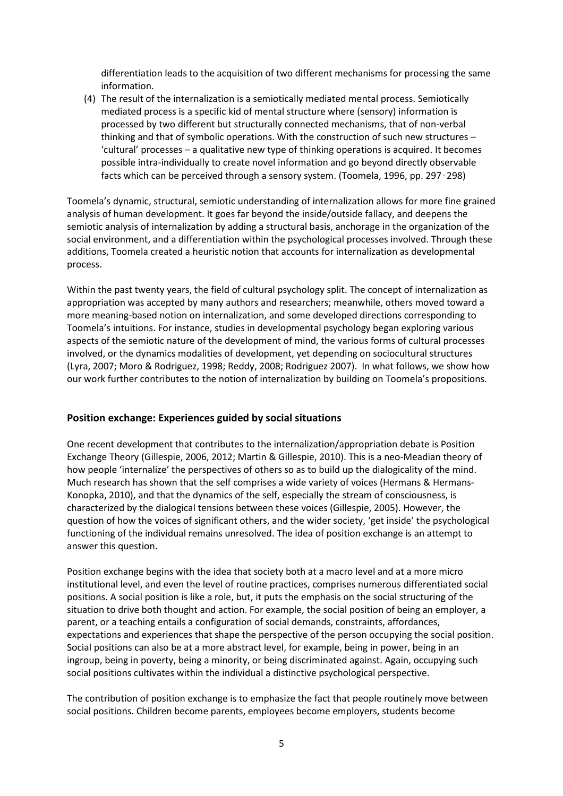differentiation leads to the acquisition of two different mechanisms for processing the same information.

(4) The result of the internalization is a semiotically mediated mental process. Semiotically mediated process is a specific kid of mental structure where (sensory) information is processed by two different but structurally connected mechanisms, that of non-verbal thinking and that of symbolic operations. With the construction of such new structures – 'cultural' processes – a qualitative new type of thinking operations is acquired. It becomes possible intra-individually to create novel information and go beyond directly observable facts which can be perceived through a sensory system. (Toomela, 1996, pp. 297‑298)

Toomela's dynamic, structural, semiotic understanding of internalization allows for more fine grained analysis of human development. It goes far beyond the inside/outside fallacy, and deepens the semiotic analysis of internalization by adding a structural basis, anchorage in the organization of the social environment, and a differentiation within the psychological processes involved. Through these additions, Toomela created a heuristic notion that accounts for internalization as developmental process.

Within the past twenty years, the field of cultural psychology split. The concept of internalization as appropriation was accepted by many authors and researchers; meanwhile, others moved toward a more meaning-based notion on internalization, and some developed directions corresponding to Toomela's intuitions. For instance, studies in developmental psychology began exploring various aspects of the semiotic nature of the development of mind, the various forms of cultural processes involved, or the dynamics modalities of development, yet depending on sociocultural structures (Lyra, 2007; Moro & Rodriguez, 1998; Reddy, 2008; Rodriguez 2007). In what follows, we show how our work further contributes to the notion of internalization by building on Toomela's propositions.

# **Position exchange: Experiences guided by social situations**

One recent development that contributes to the internalization/appropriation debate is Position Exchange Theory (Gillespie, 2006, 2012; Martin & Gillespie, 2010). This is a neo-Meadian theory of how people 'internalize' the perspectives of others so as to build up the dialogicality of the mind. Much research has shown that the self comprises a wide variety of voices (Hermans & Hermans-Konopka, 2010), and that the dynamics of the self, especially the stream of consciousness, is characterized by the dialogical tensions between these voices (Gillespie, 2005). However, the question of how the voices of significant others, and the wider society, 'get inside' the psychological functioning of the individual remains unresolved. The idea of position exchange is an attempt to answer this question.

Position exchange begins with the idea that society both at a macro level and at a more micro institutional level, and even the level of routine practices, comprises numerous differentiated social positions. A social position is like a role, but, it puts the emphasis on the social structuring of the situation to drive both thought and action. For example, the social position of being an employer, a parent, or a teaching entails a configuration of social demands, constraints, affordances, expectations and experiences that shape the perspective of the person occupying the social position. Social positions can also be at a more abstract level, for example, being in power, being in an ingroup, being in poverty, being a minority, or being discriminated against. Again, occupying such social positions cultivates within the individual a distinctive psychological perspective.

The contribution of position exchange is to emphasize the fact that people routinely move between social positions. Children become parents, employees become employers, students become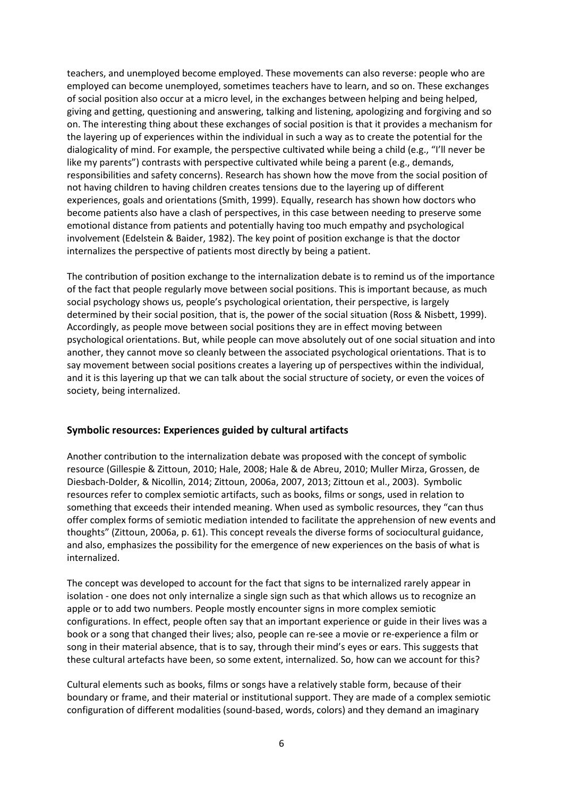teachers, and unemployed become employed. These movements can also reverse: people who are employed can become unemployed, sometimes teachers have to learn, and so on. These exchanges of social position also occur at a micro level, in the exchanges between helping and being helped, giving and getting, questioning and answering, talking and listening, apologizing and forgiving and so on. The interesting thing about these exchanges of social position is that it provides a mechanism for the layering up of experiences within the individual in such a way as to create the potential for the dialogicality of mind. For example, the perspective cultivated while being a child (e.g., "I'll never be like my parents") contrasts with perspective cultivated while being a parent (e.g., demands, responsibilities and safety concerns). Research has shown how the move from the social position of not having children to having children creates tensions due to the layering up of different experiences, goals and orientations (Smith, 1999). Equally, research has shown how doctors who become patients also have a clash of perspectives, in this case between needing to preserve some emotional distance from patients and potentially having too much empathy and psychological involvement (Edelstein & Baider, 1982). The key point of position exchange is that the doctor internalizes the perspective of patients most directly by being a patient.

The contribution of position exchange to the internalization debate is to remind us of the importance of the fact that people regularly move between social positions. This is important because, as much social psychology shows us, people's psychological orientation, their perspective, is largely determined by their social position, that is, the power of the social situation (Ross & Nisbett, 1999). Accordingly, as people move between social positions they are in effect moving between psychological orientations. But, while people can move absolutely out of one social situation and into another, they cannot move so cleanly between the associated psychological orientations. That is to say movement between social positions creates a layering up of perspectives within the individual, and it is this layering up that we can talk about the social structure of society, or even the voices of society, being internalized.

# **Symbolic resources: Experiences guided by cultural artifacts**

Another contribution to the internalization debate was proposed with the concept of symbolic resource (Gillespie & Zittoun, 2010; Hale, 2008; Hale & de Abreu, 2010; Muller Mirza, Grossen, de Diesbach-Dolder, & Nicollin, 2014; Zittoun, 2006a, 2007, 2013; Zittoun et al., 2003). Symbolic resources refer to complex semiotic artifacts, such as books, films or songs, used in relation to something that exceeds their intended meaning. When used as symbolic resources, they "can thus offer complex forms of semiotic mediation intended to facilitate the apprehension of new events and thoughts" (Zittoun, 2006a, p. 61). This concept reveals the diverse forms of sociocultural guidance, and also, emphasizes the possibility for the emergence of new experiences on the basis of what is internalized.

The concept was developed to account for the fact that signs to be internalized rarely appear in isolation - one does not only internalize a single sign such as that which allows us to recognize an apple or to add two numbers. People mostly encounter signs in more complex semiotic configurations. In effect, people often say that an important experience or guide in their lives was a book or a song that changed their lives; also, people can re-see a movie or re-experience a film or song in their material absence, that is to say, through their mind's eyes or ears. This suggests that these cultural artefacts have been, so some extent, internalized. So, how can we account for this?

Cultural elements such as books, films or songs have a relatively stable form, because of their boundary or frame, and their material or institutional support. They are made of a complex semiotic configuration of different modalities (sound-based, words, colors) and they demand an imaginary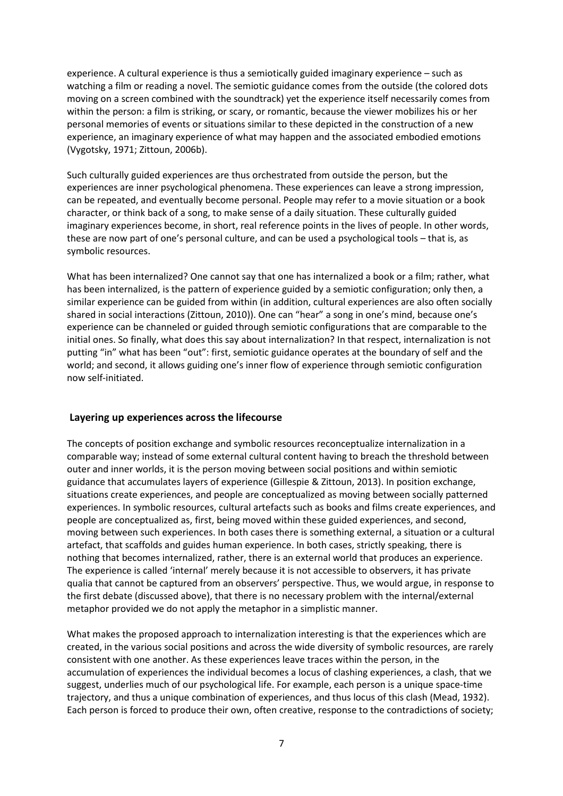experience. A cultural experience is thus a semiotically guided imaginary experience – such as watching a film or reading a novel. The semiotic guidance comes from the outside (the colored dots moving on a screen combined with the soundtrack) yet the experience itself necessarily comes from within the person: a film is striking, or scary, or romantic, because the viewer mobilizes his or her personal memories of events or situations similar to these depicted in the construction of a new experience, an imaginary experience of what may happen and the associated embodied emotions (Vygotsky, 1971; Zittoun, 2006b).

Such culturally guided experiences are thus orchestrated from outside the person, but the experiences are inner psychological phenomena. These experiences can leave a strong impression, can be repeated, and eventually become personal. People may refer to a movie situation or a book character, or think back of a song, to make sense of a daily situation. These culturally guided imaginary experiences become, in short, real reference points in the lives of people. In other words, these are now part of one's personal culture, and can be used a psychological tools – that is, as symbolic resources.

What has been internalized? One cannot say that one has internalized a book or a film; rather, what has been internalized, is the pattern of experience guided by a semiotic configuration; only then, a similar experience can be guided from within (in addition, cultural experiences are also often socially shared in social interactions (Zittoun, 2010)). One can "hear" a song in one's mind, because one's experience can be channeled or guided through semiotic configurations that are comparable to the initial ones. So finally, what does this say about internalization? In that respect, internalization is not putting "in" what has been "out": first, semiotic guidance operates at the boundary of self and the world; and second, it allows guiding one's inner flow of experience through semiotic configuration now self-initiated.

# **Layering up experiences across the lifecourse**

The concepts of position exchange and symbolic resources reconceptualize internalization in a comparable way; instead of some external cultural content having to breach the threshold between outer and inner worlds, it is the person moving between social positions and within semiotic guidance that accumulates layers of experience (Gillespie & Zittoun, 2013). In position exchange, situations create experiences, and people are conceptualized as moving between socially patterned experiences. In symbolic resources, cultural artefacts such as books and films create experiences, and people are conceptualized as, first, being moved within these guided experiences, and second, moving between such experiences. In both cases there is something external, a situation or a cultural artefact, that scaffolds and guides human experience. In both cases, strictly speaking, there is nothing that becomes internalized, rather, there is an external world that produces an experience. The experience is called 'internal' merely because it is not accessible to observers, it has private qualia that cannot be captured from an observers' perspective. Thus, we would argue, in response to the first debate (discussed above), that there is no necessary problem with the internal/external metaphor provided we do not apply the metaphor in a simplistic manner.

What makes the proposed approach to internalization interesting is that the experiences which are created, in the various social positions and across the wide diversity of symbolic resources, are rarely consistent with one another. As these experiences leave traces within the person, in the accumulation of experiences the individual becomes a locus of clashing experiences, a clash, that we suggest, underlies much of our psychological life. For example, each person is a unique space-time trajectory, and thus a unique combination of experiences, and thus locus of this clash (Mead, 1932). Each person is forced to produce their own, often creative, response to the contradictions of society;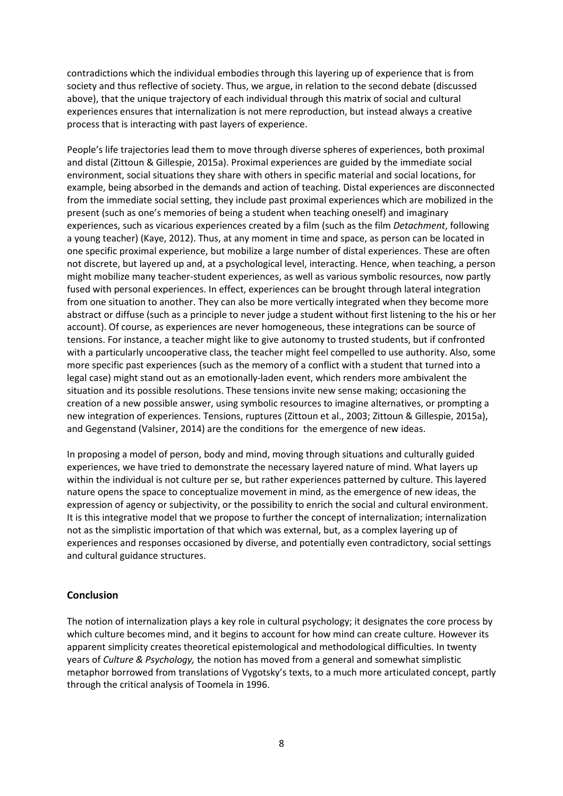contradictions which the individual embodies through this layering up of experience that is from society and thus reflective of society. Thus, we argue, in relation to the second debate (discussed above), that the unique trajectory of each individual through this matrix of social and cultural experiences ensures that internalization is not mere reproduction, but instead always a creative process that is interacting with past layers of experience.

People's life trajectories lead them to move through diverse spheres of experiences, both proximal and distal (Zittoun & Gillespie, 2015a). Proximal experiences are guided by the immediate social environment, social situations they share with others in specific material and social locations, for example, being absorbed in the demands and action of teaching. Distal experiences are disconnected from the immediate social setting, they include past proximal experiences which are mobilized in the present (such as one's memories of being a student when teaching oneself) and imaginary experiences, such as vicarious experiences created by a film (such as the film *Detachment*, following a young teacher) (Kaye, 2012). Thus, at any moment in time and space, as person can be located in one specific proximal experience, but mobilize a large number of distal experiences. These are often not discrete, but layered up and, at a psychological level, interacting. Hence, when teaching, a person might mobilize many teacher-student experiences, as well as various symbolic resources, now partly fused with personal experiences. In effect, experiences can be brought through lateral integration from one situation to another. They can also be more vertically integrated when they become more abstract or diffuse (such as a principle to never judge a student without first listening to the his or her account). Of course, as experiences are never homogeneous, these integrations can be source of tensions. For instance, a teacher might like to give autonomy to trusted students, but if confronted with a particularly uncooperative class, the teacher might feel compelled to use authority. Also, some more specific past experiences (such as the memory of a conflict with a student that turned into a legal case) might stand out as an emotionally-laden event, which renders more ambivalent the situation and its possible resolutions. These tensions invite new sense making; occasioning the creation of a new possible answer, using symbolic resources to imagine alternatives, or prompting a new integration of experiences. Tensions, ruptures (Zittoun et al., 2003; Zittoun & Gillespie, 2015a), and Gegenstand (Valsiner, 2014) are the conditions for the emergence of new ideas.

In proposing a model of person, body and mind, moving through situations and culturally guided experiences, we have tried to demonstrate the necessary layered nature of mind. What layers up within the individual is not culture per se, but rather experiences patterned by culture. This layered nature opens the space to conceptualize movement in mind, as the emergence of new ideas, the expression of agency or subjectivity, or the possibility to enrich the social and cultural environment. It is this integrative model that we propose to further the concept of internalization; internalization not as the simplistic importation of that which was external, but, as a complex layering up of experiences and responses occasioned by diverse, and potentially even contradictory, social settings and cultural guidance structures.

# **Conclusion**

The notion of internalization plays a key role in cultural psychology; it designates the core process by which culture becomes mind, and it begins to account for how mind can create culture. However its apparent simplicity creates theoretical epistemological and methodological difficulties. In twenty years of *Culture & Psychology,* the notion has moved from a general and somewhat simplistic metaphor borrowed from translations of Vygotsky's texts, to a much more articulated concept, partly through the critical analysis of Toomela in 1996.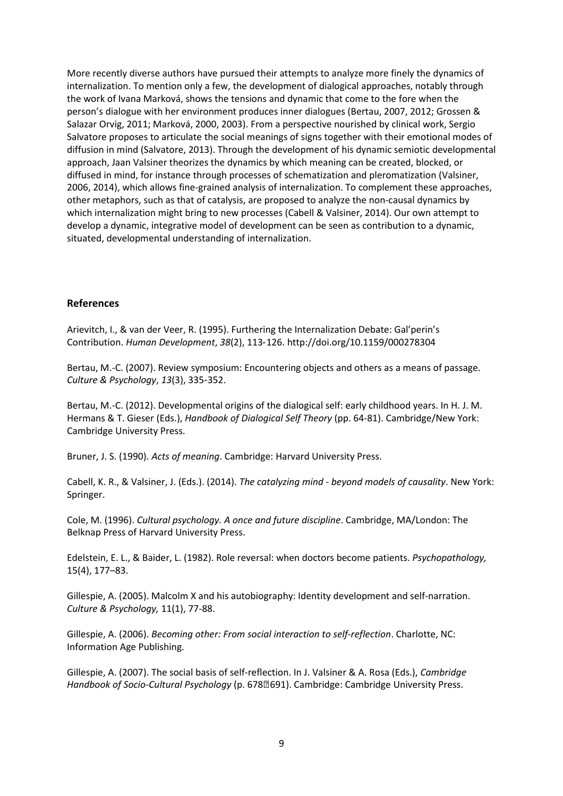More recently diverse authors have pursued their attempts to analyze more finely the dynamics of internalization. To mention only a few, the development of dialogical approaches, notably through the work of Ivana Marková, shows the tensions and dynamic that come to the fore when the person's dialogue with her environment produces inner dialogues (Bertau, 2007, 2012; Grossen & Salazar Orvig, 2011; Marková, 2000, 2003). From a perspective nourished by clinical work, Sergio Salvatore proposes to articulate the social meanings of signs together with their emotional modes of diffusion in mind (Salvatore, 2013). Through the development of his dynamic semiotic developmental approach, Jaan Valsiner theorizes the dynamics by which meaning can be created, blocked, or diffused in mind, for instance through processes of schematization and pleromatization (Valsiner, 2006, 2014), which allows fine-grained analysis of internalization. To complement these approaches, other metaphors, such as that of catalysis, are proposed to analyze the non-causal dynamics by which internalization might bring to new processes (Cabell & Valsiner, 2014). Our own attempt to develop a dynamic, integrative model of development can be seen as contribution to a dynamic, situated, developmental understanding of internalization.

#### **References**

Arievitch, I., & van der Veer, R. (1995). Furthering the Internalization Debate: Gal'perin's Contribution. *Human Development*, *38*(2), 113-126. http://doi.org/10.1159/000278304

Bertau, M.-C. (2007). Review symposium: Encountering objects and others as a means of passage. *Culture & Psychology*, *13*(3), 335-352.

Bertau, M.-C. (2012). Developmental origins of the dialogical self: early childhood years. In H. J. M. Hermans & T. Gieser (Eds.), *Handbook of Dialogical Self Theory* (pp. 64-81). Cambridge/New York: Cambridge University Press.

Bruner, J. S. (1990). *Acts of meaning*. Cambridge: Harvard University Press.

Cabell, K. R., & Valsiner, J. (Eds.). (2014). *The catalyzing mind - beyond models of causality*. New York: Springer.

Cole, M. (1996). *Cultural psychology. A once and future discipline*. Cambridge, MA/London: The Belknap Press of Harvard University Press.

Edelstein, E. L., & Baider, L. (1982). Role reversal: when doctors become patients. *Psychopathology,* 15(4), 177–83.

Gillespie, A. (2005). Malcolm X and his autobiography: Identity development and self-narration. *Culture & Psychology,* 11(1), 77-88.

Gillespie, A. (2006). *Becoming other: From social interaction to self-reflection*. Charlotte, NC: Information Age Publishing.

Gillespie, A. (2007). The social basis of self-reflection. In J. Valsiner & A. Rosa (Eds.), *Cambridge Handbook of Socio-Cultural Psychology* (p. 678‑691). Cambridge: Cambridge University Press.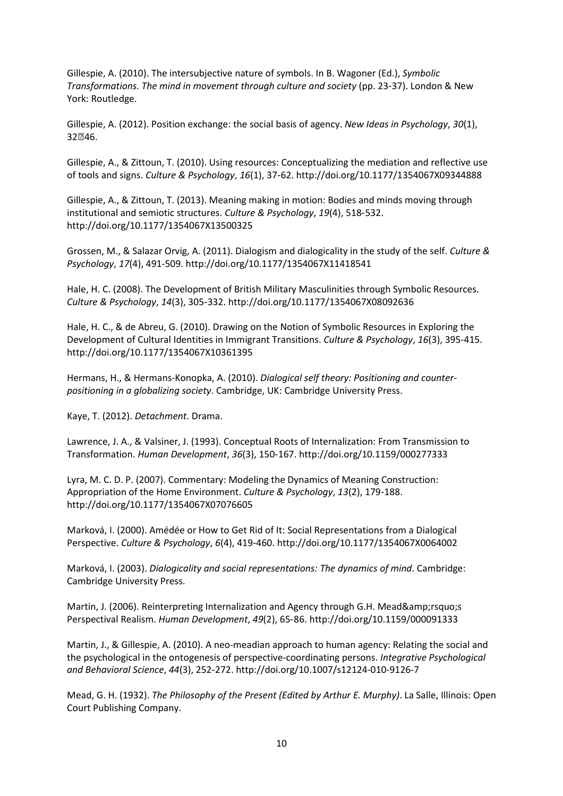Gillespie, A. (2010). The intersubjective nature of symbols. In B. Wagoner (Ed.), *Symbolic Transformations. The mind in movement through culture and society* (pp. 23-37). London & New York: Routledge.

Gillespie, A. (2012). Position exchange: the social basis of agency. *New Ideas in Psychology*, *30*(1), 32246.

Gillespie, A., & Zittoun, T. (2010). Using resources: Conceptualizing the mediation and reflective use of tools and signs. *Culture & Psychology*, *16*(1), 37-62. http://doi.org/10.1177/1354067X09344888

Gillespie, A., & Zittoun, T. (2013). Meaning making in motion: Bodies and minds moving through institutional and semiotic structures. *Culture & Psychology*, *19*(4), 518-532. http://doi.org/10.1177/1354067X13500325

Grossen, M., & Salazar Orvig, A. (2011). Dialogism and dialogicality in the study of the self. *Culture & Psychology*, *17*(4), 491-509. http://doi.org/10.1177/1354067X11418541

Hale, H. C. (2008). The Development of British Military Masculinities through Symbolic Resources. *Culture & Psychology*, *14*(3), 305-332. http://doi.org/10.1177/1354067X08092636

Hale, H. C., & de Abreu, G. (2010). Drawing on the Notion of Symbolic Resources in Exploring the Development of Cultural Identities in Immigrant Transitions. *Culture & Psychology*, *16*(3), 395-415. http://doi.org/10.1177/1354067X10361395

Hermans, H., & Hermans-Konopka, A. (2010). *Dialogical self theory: Positioning and counterpositioning in a globalizing society*. Cambridge, UK: Cambridge University Press.

Kaye, T. (2012). *Detachment*. Drama.

Lawrence, J. A., & Valsiner, J. (1993). Conceptual Roots of Internalization: From Transmission to Transformation. *Human Development*, *36*(3), 150-167. http://doi.org/10.1159/000277333

Lyra, M. C. D. P. (2007). Commentary: Modeling the Dynamics of Meaning Construction: Appropriation of the Home Environment. *Culture & Psychology*, *13*(2), 179-188. http://doi.org/10.1177/1354067X07076605

Marková, I. (2000). Amédée or How to Get Rid of It: Social Representations from a Dialogical Perspective. *Culture & Psychology*, *6*(4), 419-460. http://doi.org/10.1177/1354067X0064002

Marková, I. (2003). *Dialogicality and social representations: The dynamics of mind*. Cambridge: Cambridge University Press.

Martin, J. (2006). Reinterpreting Internalization and Agency through G.H. Mead's Perspectival Realism. *Human Development*, *49*(2), 65-86. http://doi.org/10.1159/000091333

Martin, J., & Gillespie, A. (2010). A neo-meadian approach to human agency: Relating the social and the psychological in the ontogenesis of perspective-coordinating persons. *Integrative Psychological and Behavioral Science*, *44*(3), 252-272. http://doi.org/10.1007/s12124-010-9126-7

Mead, G. H. (1932). *The Philosophy of the Present (Edited by Arthur E. Murphy)*. La Salle, Illinois: Open Court Publishing Company.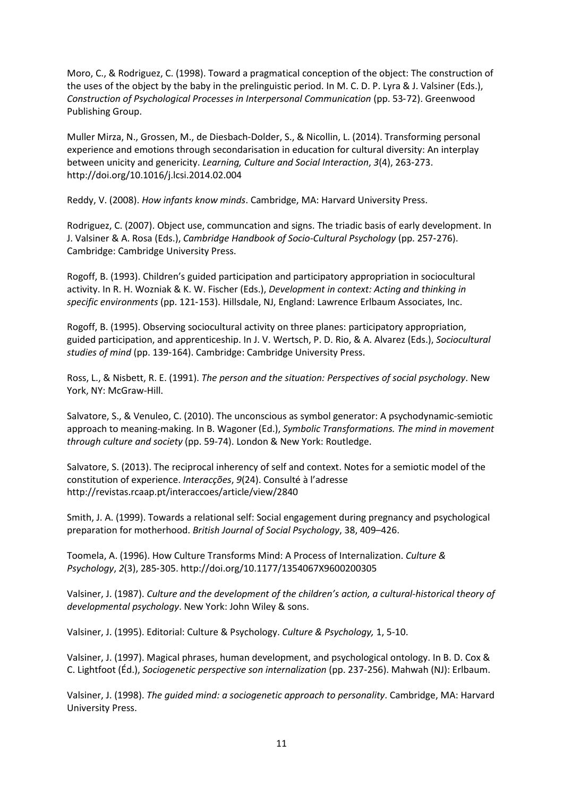Moro, C., & Rodriguez, C. (1998). Toward a pragmatical conception of the object: The construction of the uses of the object by the baby in the prelinguistic period. In M. C. D. P. Lyra & J. Valsiner (Eds.), *Construction of Psychological Processes in Interpersonal Communication* (pp. 53-72). Greenwood Publishing Group.

Muller Mirza, N., Grossen, M., de Diesbach-Dolder, S., & Nicollin, L. (2014). Transforming personal experience and emotions through secondarisation in education for cultural diversity: An interplay between unicity and genericity. *Learning, Culture and Social Interaction*, *3*(4), 263-273. http://doi.org/10.1016/j.lcsi.2014.02.004

Reddy, V. (2008). *How infants know minds*. Cambridge, MA: Harvard University Press.

Rodriguez, C. (2007). Object use, communcation and signs. The triadic basis of early development. In J. Valsiner & A. Rosa (Eds.), *Cambridge Handbook of Socio-Cultural Psychology* (pp. 257-276). Cambridge: Cambridge University Press.

Rogoff, B. (1993). Children's guided participation and participatory appropriation in sociocultural activity. In R. H. Wozniak & K. W. Fischer (Eds.), *Development in context: Acting and thinking in specific environments* (pp. 121-153). Hillsdale, NJ, England: Lawrence Erlbaum Associates, Inc.

Rogoff, B. (1995). Observing sociocultural activity on three planes: participatory appropriation, guided participation, and apprenticeship. In J. V. Wertsch, P. D. Rio, & A. Alvarez (Eds.), *Sociocultural studies of mind* (pp. 139-164). Cambridge: Cambridge University Press.

Ross, L., & Nisbett, R. E. (1991). *The person and the situation: Perspectives of social psychology*. New York, NY: McGraw-Hill.

Salvatore, S., & Venuleo, C. (2010). The unconscious as symbol generator: A psychodynamic-semiotic approach to meaning-making. In B. Wagoner (Ed.), *Symbolic Transformations. The mind in movement through culture and society* (pp. 59-74). London & New York: Routledge.

Salvatore, S. (2013). The reciprocal inherency of self and context. Notes for a semiotic model of the constitution of experience. *Interacções*, *9*(24). Consulté à l'adresse http://revistas.rcaap.pt/interaccoes/article/view/2840

Smith, J. A. (1999). Towards a relational self: Social engagement during pregnancy and psychological preparation for motherhood. *British Journal of Social Psychology*, 38, 409–426.

Toomela, A. (1996). How Culture Transforms Mind: A Process of Internalization. *Culture & Psychology*, *2*(3), 285-305. http://doi.org/10.1177/1354067X9600200305

Valsiner, J. (1987). *Culture and the development of the children's action, a cultural-historical theory of developmental psychology*. New York: John Wiley & sons.

Valsiner, J. (1995). Editorial: Culture & Psychology. *Culture & Psychology,* 1, 5-10.

Valsiner, J. (1997). Magical phrases, human development, and psychological ontology. In B. D. Cox & C. Lightfoot (Éd.), *Sociogenetic perspective son internalization* (pp. 237-256). Mahwah (NJ): Erlbaum.

Valsiner, J. (1998). *The guided mind: a sociogenetic approach to personality*. Cambridge, MA: Harvard University Press.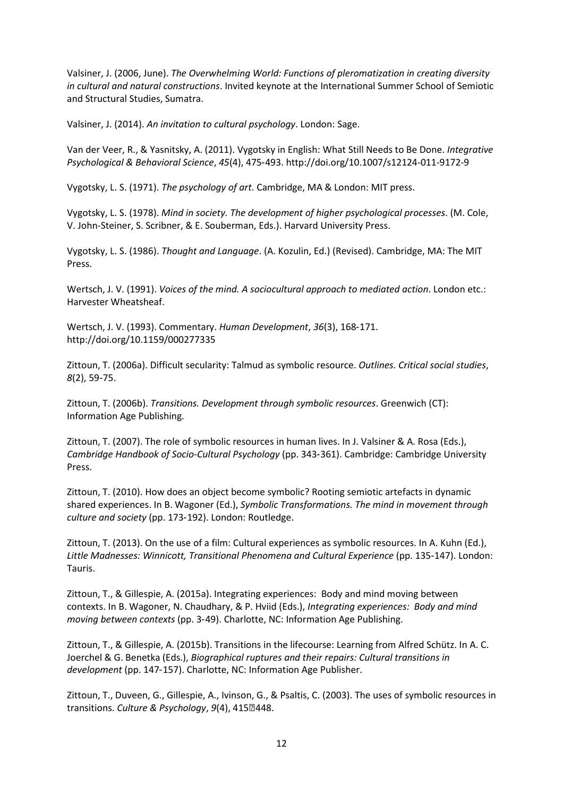Valsiner, J. (2006, June). *The Overwhelming World: Functions of pleromatization in creating diversity in cultural and natural constructions*. Invited keynote at the International Summer School of Semiotic and Structural Studies, Sumatra.

Valsiner, J. (2014). *An invitation to cultural psychology*. London: Sage.

Van der Veer, R., & Yasnitsky, A. (2011). Vygotsky in English: What Still Needs to Be Done. *Integrative Psychological & Behavioral Science*, *45*(4), 475-493. http://doi.org/10.1007/s12124-011-9172-9

Vygotsky, L. S. (1971). *The psychology of art*. Cambridge, MA & London: MIT press.

Vygotsky, L. S. (1978). *Mind in society. The development of higher psychological processes*. (M. Cole, V. John-Steiner, S. Scribner, & E. Souberman, Eds.). Harvard University Press.

Vygotsky, L. S. (1986). *Thought and Language*. (A. Kozulin, Ed.) (Revised). Cambridge, MA: The MIT Press.

Wertsch, J. V. (1991). *Voices of the mind. A sociocultural approach to mediated action*. London etc.: Harvester Wheatsheaf.

Wertsch, J. V. (1993). Commentary. *Human Development*, *36*(3), 168-171. http://doi.org/10.1159/000277335

Zittoun, T. (2006a). Difficult secularity: Talmud as symbolic resource. *Outlines. Critical social studies*, *8*(2), 59-75.

Zittoun, T. (2006b). *Transitions. Development through symbolic resources*. Greenwich (CT): Information Age Publishing.

Zittoun, T. (2007). The role of symbolic resources in human lives. In J. Valsiner & A. Rosa (Eds.), *Cambridge Handbook of Socio-Cultural Psychology* (pp. 343-361). Cambridge: Cambridge University Press.

Zittoun, T. (2010). How does an object become symbolic? Rooting semiotic artefacts in dynamic shared experiences. In B. Wagoner (Ed.), *Symbolic Transformations. The mind in movement through culture and society* (pp. 173-192). London: Routledge.

Zittoun, T. (2013). On the use of a film: Cultural experiences as symbolic resources. In A. Kuhn (Ed.), *Little Madnesses: Winnicott, Transitional Phenomena and Cultural Experience* (pp. 135-147). London: Tauris.

Zittoun, T., & Gillespie, A. (2015a). Integrating experiences: Body and mind moving between contexts. In B. Wagoner, N. Chaudhary, & P. Hviid (Eds.), *Integrating experiences: Body and mind moving between contexts* (pp. 3-49). Charlotte, NC: Information Age Publishing.

Zittoun, T., & Gillespie, A. (2015b). Transitions in the lifecourse: Learning from Alfred Schütz. In A. C. Joerchel & G. Benetka (Eds.), *Biographical ruptures and their repairs: Cultural transitions in development* (pp. 147-157). Charlotte, NC: Information Age Publisher.

Zittoun, T., Duveen, G., Gillespie, A., Ivinson, G., & Psaltis, C. (2003). The uses of symbolic resources in transitions. *Culture & Psychology*, *9*(4), 415‑448.